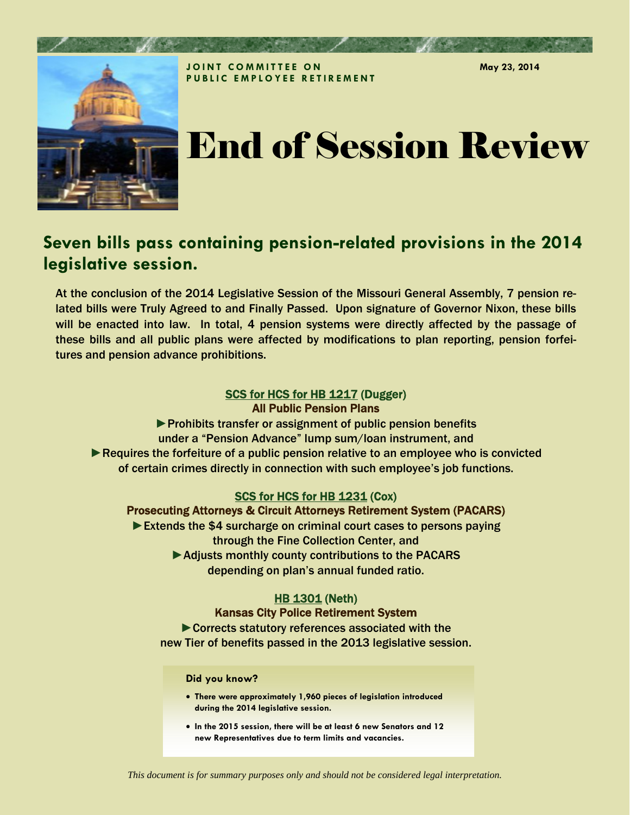

# End of Session Review

**May 23, 2014** 

# **Seven bills pass containing pension-related provisions in the 2014 legislative session.**

At the conclusion of the 2014 Legislative Session of the Missouri General Assembly, 7 pension related bills were Truly Agreed to and Finally Passed. Upon signature of Governor Nixon, these bills will be enacted into law. In total, 4 pension systems were directly affected by the passage of these bills and all public plans were affected by modifications to plan reporting, pension forfeitures and pension advance prohibitions.

# [SCS for HCS for HB 1217](http://www.house.mo.gov/billsummary.aspx?bill=HB1217&year=2014&code=R) (Dugger) All Public Pension Plans

▶ Prohibits transfer or assignment of public pension benefits under a "Pension Advance" lump sum/loan instrument, and ► Requires the forfeiture of a public pension relative to an employee who is convicted of certain crimes directly in connection with such employee's job functions.

#### [SCS for HCS for HB 1231](http://www.house.mo.gov/billsummary.aspx?bill=HB1231&year=2014&code=R) (Cox) Prosecuting Attorneys & Circuit Attorneys Retirement System (PACARS)

► Extends the \$4 surcharge on criminal court cases to persons paying through the Fine Collection Center, and ▶ Adjusts monthly county contributions to the PACARS depending on plan's annual funded ratio.

### [HB 1301](http://www.house.mo.gov/billsummary.aspx?bill=HB1301&year=2014&code=R) (Neth) Kansas City Police Retirement System

►Corrects statutory references associated with the new Tier of benefits passed in the 2013 legislative session.

#### **Did you know?**

- **There were approximately 1,960 pieces of legislation introduced during the 2014 legislative session.**
- **In the 2015 session, there will be at least 6 new Senators and 12 new Representatives due to term limits and vacancies.**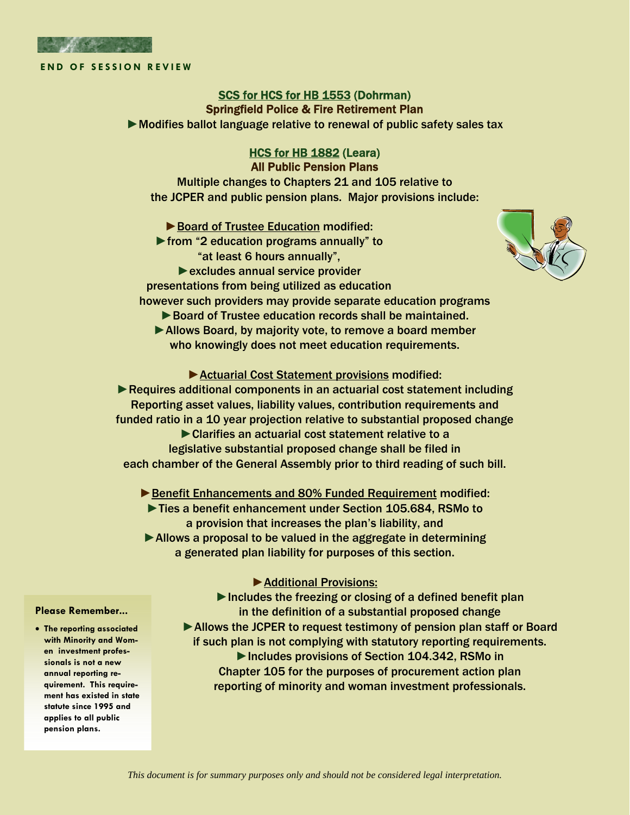

# [SCS for HCS for HB 1553](http://www.house.mo.gov/billsummary.aspx?bill=HB1553&year=2014&code=R) (Dohrman) Springfield Police & Fire Retirement Plan

►Modifies ballot language relative to renewal of public safety sales tax

#### [HCS for HB 1882](http://www.house.mo.gov/billsummary.aspx?bill=HB1882&year=2014&code=R) (Leara) All Public Pension Plans

Multiple changes to Chapters 21 and 105 relative to the JCPER and public pension plans. Major provisions include:

► Board of Trustee Education modified:

►from "2 education programs annually" to "at least 6 hours annually",

► excludes annual service provider

presentations from being utilized as education



- ► Board of Trustee education records shall be maintained.
- ▶ Allows Board, by majority vote, to remove a board member who knowingly does not meet education requirements.

#### ▶ Actuarial Cost Statement provisions modified:

▶Requires additional components in an actuarial cost statement including Reporting asset values, liability values, contribution requirements and funded ratio in a 10 year projection relative to substantial proposed change ►Clarifies an actuarial cost statement relative to a legislative substantial proposed change shall be filed in each chamber of the General Assembly prior to third reading of such bill.

► Benefit Enhancements and 80% Funded Requirement modified: ►Ties a benefit enhancement under Section 105.684, RSMo to a provision that increases the plan's liability, and ▶ Allows a proposal to be valued in the aggregate in determining a generated plan liability for purposes of this section.

#### ►Additional Provisions:

▶Includes the freezing or closing of a defined benefit plan in the definition of a substantial proposed change ► Allows the JCPER to request testimony of pension plan staff or Board if such plan is not complying with statutory reporting requirements. ►Includes provisions of Section 104.342, RSMo in Chapter 105 for the purposes of procurement action plan reporting of minority and woman investment professionals.

#### **Please Remember...**

 **The reporting associated with Minority and Women investment professionals is not a new annual reporting requirement. This requirement has existed in state statute since 1995 and applies to all public pension plans.**